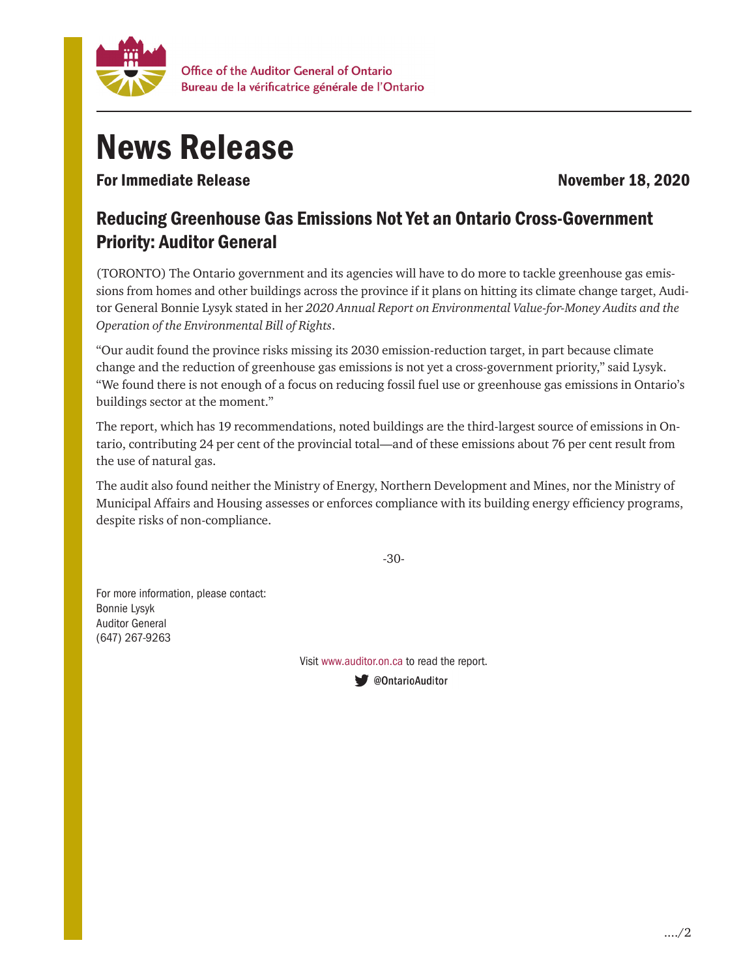

## News Release

For Immediate Release November 18, 2020

## Reducing Greenhouse Gas Emissions Not Yet an Ontario Cross-Government Priority: Auditor General

(TORONTO) The Ontario government and its agencies will have to do more to tackle greenhouse gas emissions from homes and other buildings across the province if it plans on hitting its climate change target, Auditor General Bonnie Lysyk stated in her *2020 Annual Report on Environmental Value-for-Money Audits and the Operation of the Environmental Bill of Rights*.

"Our audit found the province risks missing its 2030 emission-reduction target, in part because climate change and the reduction of greenhouse gas emissions is not yet a cross-government priority," said Lysyk. "We found there is not enough of a focus on reducing fossil fuel use or greenhouse gas emissions in Ontario's buildings sector at the moment."

The report, which has 19 recommendations, noted buildings are the third-largest source of emissions in Ontario, contributing 24 per cent of the provincial total—and of these emissions about 76 per cent result from the use of natural gas.

The audit also found neither the Ministry of Energy, Northern Development and Mines, nor the Ministry of Municipal Affairs and Housing assesses or enforces compliance with its building energy efficiency programs, despite risks of non-compliance.

-30-

For more information, please contact: Bonnie Lysyk Auditor General (647) 267-9263

Visit www.auditor.on.ca to read the report.

● @OntarioAuditor